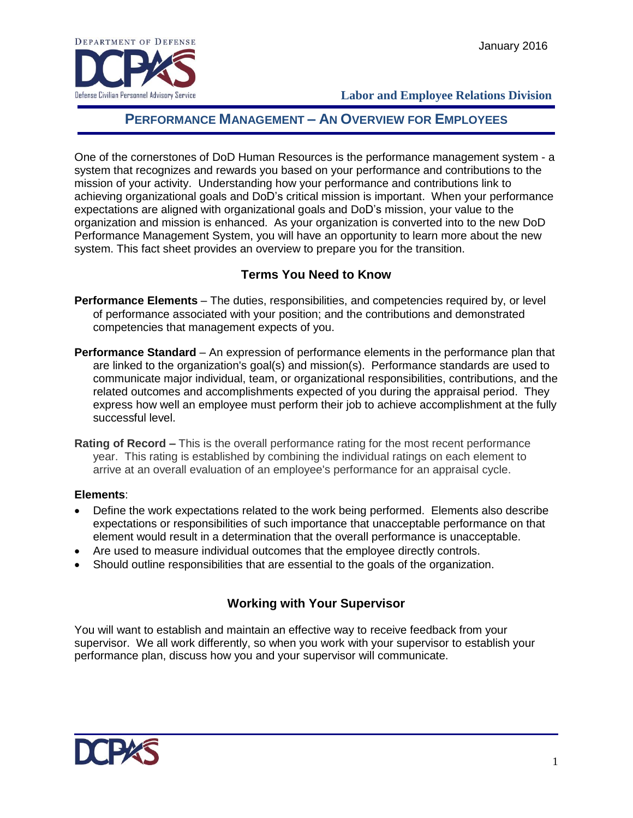

 **Labor and Employee Relations Division**

# **PERFORMANCE MANAGEMENT – AN OVERVIEW FOR EMPLOYEES**

One of the cornerstones of DoD Human Resources is the performance management system - a system that recognizes and rewards you based on your performance and contributions to the mission of your activity. Understanding how your performance and contributions link to achieving organizational goals and DoD's critical mission is important. When your performance expectations are aligned with organizational goals and DoD's mission, your value to the organization and mission is enhanced. As your organization is converted into to the new DoD Performance Management System, you will have an opportunity to learn more about the new system. This fact sheet provides an overview to prepare you for the transition.

#### **Terms You Need to Know**

- **Performance Elements** The duties, responsibilities, and competencies required by, or level of performance associated with your position; and the contributions and demonstrated competencies that management expects of you.
- **Performance Standard** An expression of performance elements in the performance plan that are linked to the organization's goal(s) and mission(s). Performance standards are used to communicate major individual, team, or organizational responsibilities, contributions, and the related outcomes and accomplishments expected of you during the appraisal period. They express how well an employee must perform their job to achieve accomplishment at the fully successful level.
- **Rating of Record –** This is the overall performance rating for the most recent performance year. This rating is established by combining the individual ratings on each element to arrive at an overall evaluation of an employee's performance for an appraisal cycle.

#### **Elements**:

- Define the work expectations related to the work being performed. Elements also describe expectations or responsibilities of such importance that unacceptable performance on that element would result in a determination that the overall performance is unacceptable.
- Are used to measure individual outcomes that the employee directly controls.
- Should outline responsibilities that are essential to the goals of the organization.

#### **Working with Your Supervisor**

You will want to establish and maintain an effective way to receive feedback from your supervisor. We all work differently, so when you work with your supervisor to establish your performance plan, discuss how you and your supervisor will communicate.

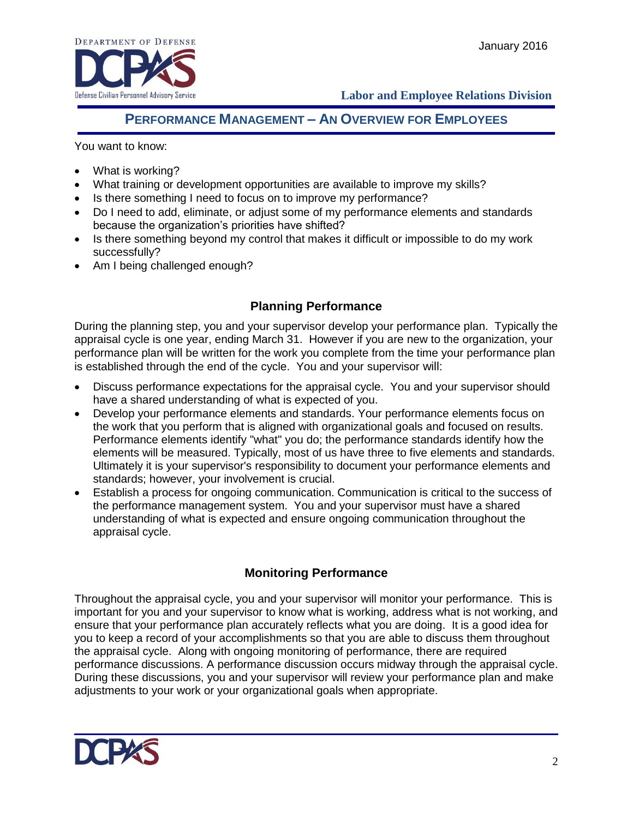

 **Labor and Employee Relations Division**

# **PERFORMANCE MANAGEMENT – AN OVERVIEW FOR EMPLOYEES**

You want to know:

- What is working?
- What training or development opportunities are available to improve my skills?
- Is there something I need to focus on to improve my performance?
- Do I need to add, eliminate, or adjust some of my performance elements and standards because the organization's priorities have shifted?
- Is there something beyond my control that makes it difficult or impossible to do my work successfully?
- Am I being challenged enough?

## **Planning Performance**

During the planning step, you and your supervisor develop your performance plan. Typically the appraisal cycle is one year, ending March 31. However if you are new to the organization, your performance plan will be written for the work you complete from the time your performance plan is established through the end of the cycle. You and your supervisor will:

- Discuss performance expectations for the appraisal cycle. You and your supervisor should have a shared understanding of what is expected of you.
- Develop your performance elements and standards. Your performance elements focus on the work that you perform that is aligned with organizational goals and focused on results. Performance elements identify "what" you do; the performance standards identify how the elements will be measured. Typically, most of us have three to five elements and standards. Ultimately it is your supervisor's responsibility to document your performance elements and standards; however, your involvement is crucial.
- Establish a process for ongoing communication. Communication is critical to the success of the performance management system. You and your supervisor must have a shared understanding of what is expected and ensure ongoing communication throughout the appraisal cycle.

## **Monitoring Performance**

Throughout the appraisal cycle, you and your supervisor will monitor your performance. This is important for you and your supervisor to know what is working, address what is not working, and ensure that your performance plan accurately reflects what you are doing. It is a good idea for you to keep a record of your accomplishments so that you are able to discuss them throughout the appraisal cycle. Along with ongoing monitoring of performance, there are required performance discussions. A performance discussion occurs midway through the appraisal cycle. During these discussions, you and your supervisor will review your performance plan and make adjustments to your work or your organizational goals when appropriate.